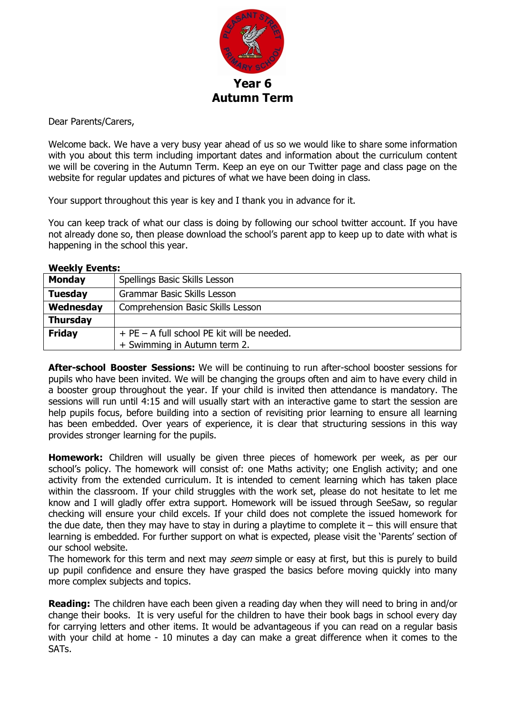

Dear Parents/Carers,

Welcome back. We have a very busy year ahead of us so we would like to share some information with you about this term including important dates and information about the curriculum content we will be covering in the Autumn Term. Keep an eye on our Twitter page and class page on the website for regular updates and pictures of what we have been doing in class.

Your support throughout this year is key and I thank you in advance for it.

You can keep track of what our class is doing by following our school twitter account. If you have not already done so, then please download the school's parent app to keep up to date with what is happening in the school this year.

**Weekly Events:**

| <b>Monday</b>   | Spellings Basic Skills Lesson               |  |
|-----------------|---------------------------------------------|--|
| <b>Tuesday</b>  | <b>Grammar Basic Skills Lesson</b>          |  |
| Wednesday       | Comprehension Basic Skills Lesson           |  |
| <b>Thursday</b> |                                             |  |
| <b>Friday</b>   | + PE – A full school PE kit will be needed. |  |
|                 | + Swimming in Autumn term 2.                |  |

**After-school Booster Sessions:** We will be continuing to run after-school booster sessions for pupils who have been invited. We will be changing the groups often and aim to have every child in a booster group throughout the year. If your child is invited then attendance is mandatory. The sessions will run until 4:15 and will usually start with an interactive game to start the session are help pupils focus, before building into a section of revisiting prior learning to ensure all learning has been embedded. Over years of experience, it is clear that structuring sessions in this way provides stronger learning for the pupils.

**Homework:** Children will usually be given three pieces of homework per week, as per our school's policy. The homework will consist of: one Maths activity; one English activity; and one activity from the extended curriculum. It is intended to cement learning which has taken place within the classroom. If your child struggles with the work set, please do not hesitate to let me know and I will gladly offer extra support. Homework will be issued through SeeSaw, so regular checking will ensure your child excels. If your child does not complete the issued homework for the due date, then they may have to stay in during a playtime to complete it – this will ensure that learning is embedded. For further support on what is expected, please visit the 'Parents' section of our school website.

The homework for this term and next may *seem* simple or easy at first, but this is purely to build up pupil confidence and ensure they have grasped the basics before moving quickly into many more complex subjects and topics.

**Reading:** The children have each been given a reading day when they will need to bring in and/or change their books. It is very useful for the children to have their book bags in school every day for carrying letters and other items. It would be advantageous if you can read on a regular basis with your child at home - 10 minutes a day can make a great difference when it comes to the SATs.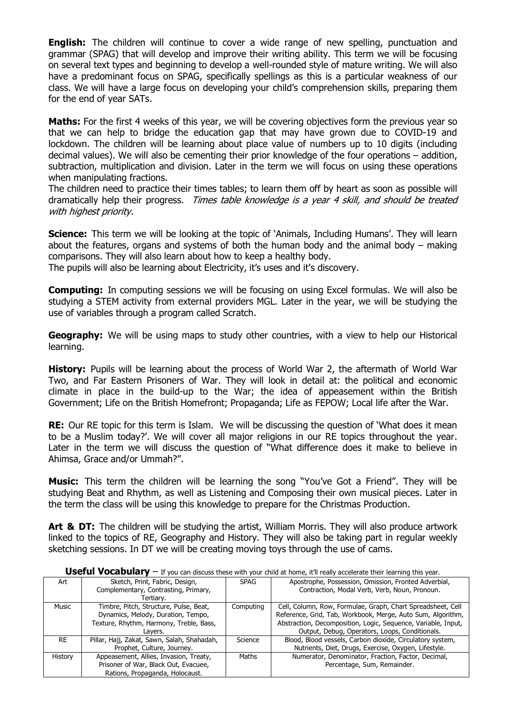**English:** The children will continue to cover a wide range of new spelling, punctuation and grammar (SPAG) that will develop and improve their writing ability. This term we will be focusing on several text types and beginning to develop a well-rounded style of mature writing. We will also have a predominant focus on SPAG, specifically spellings as this is a particular weakness of our class. We will have a large focus on developing your child's comprehension skills, preparing them for the end of year SATs.

**Maths:** For the first 4 weeks of this year, we will be covering objectives form the previous year so that we can help to bridge the education gap that may have grown due to COVID-19 and lockdown. The children will be learning about place value of numbers up to 10 digits (including decimal values). We will also be cementing their prior knowledge of the four operations – addition, subtraction, multiplication and division. Later in the term we will focus on using these operations when manipulating fractions.

The children need to practice their times tables; to learn them off by heart as soon as possible will dramatically help their progress. Times table knowledge is a year 4 skill, and should be treated with highest priority.

**Science:** This term we will be looking at the topic of 'Animals, Including Humans'. They will learn about the features, organs and systems of both the human body and the animal body – making comparisons. They will also learn about how to keep a healthy body.

The pupils will also be learning about Electricity, it's uses and it's discovery.

**Computing:** In computing sessions we will be focusing on using Excel formulas. We will also be studying a STEM activity from external providers MGL. Later in the year, we will be studying the use of variables through a program called Scratch.

**Geography:** We will be using maps to study other countries, with a view to help our Historical learning.

**History:** Pupils will be learning about the process of World War 2, the aftermath of World War Two, and Far Eastern Prisoners of War. They will look in detail at: the political and economic climate in place in the build-up to the War; the idea of appeasement within the British Government; Life on the British Homefront; Propaganda; Life as FEPOW; Local life after the War.

**RE:** Our RE topic for this term is Islam. We will be discussing the question of 'What does it mean to be a Muslim today?'. We will cover all major religions in our RE topics throughout the year. Later in the term we will discuss the question of "What difference does it make to believe in Ahimsa, Grace and/or Ummah?".

**Music:** This term the children will be learning the song "You've Got a Friend". They will be studying Beat and Rhythm, as well as Listening and Composing their own musical pieces. Later in the term the class will be using this knowledge to prepare for the Christmas Production.

Art & DT: The children will be studying the artist, William Morris. They will also produce artwork linked to the topics of RE, Geography and History. They will also be taking part in regular weekly sketching sessions. In DT we will be creating moving toys through the use of cams.

| Art            | Sketch, Print, Fabric, Design,              | <b>SPAG</b> | Apostrophe, Possession, Omission, Fronted Adverbial,          |
|----------------|---------------------------------------------|-------------|---------------------------------------------------------------|
|                | Complementary, Contrasting, Primary,        |             | Contraction, Modal Verb, Verb, Noun, Pronoun.                 |
|                | Tertiary.                                   |             |                                                               |
| Music          | Timbre, Pitch, Structure, Pulse, Beat,      | Computing   | Cell, Column, Row, Formulae, Graph, Chart Spreadsheet, Cell   |
|                | Dynamics, Melody, Duration, Tempo,          |             | Reference, Grid, Tab, Workbook, Merge, Auto Sum, Algorithm,   |
|                | Texture, Rhythm, Harmony, Treble, Bass,     |             | Abstraction, Decomposition, Logic, Sequence, Variable, Input, |
|                | Lavers.                                     |             | Output, Debug, Operators, Loops, Conditionals.                |
| <b>RE</b>      | Pillar, Hajj, Zakat, Sawn, Salah, Shahadah, | Science     | Blood, Blood vessels, Carbon dioxide, Circulatory system,     |
|                | Prophet, Culture, Journey.                  |             | Nutrients, Diet, Drugs, Exercise, Oxygen, Lifestyle.          |
| <b>History</b> | Appeasement, Allies, Invasion, Treaty,      | Maths       | Numerator, Denominator, Fraction, Factor, Decimal,            |
|                | Prisoner of War, Black Out, Evacuee,        |             | Percentage, Sum, Remainder.                                   |
|                | Rations, Propaganda, Holocaust.             |             |                                                               |

**Useful Vocabularv** – If you can discuss these with your child at home, it'll really accelerate their learning this year.